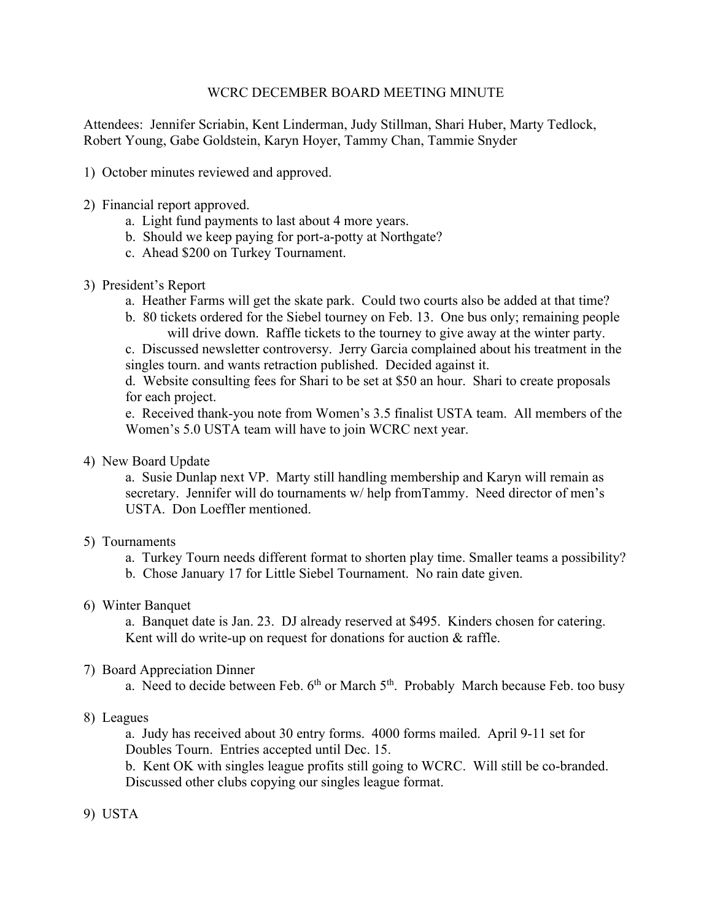## WCRC DECEMBER BOARD MEETING MINUTE

Attendees: Jennifer Scriabin, Kent Linderman, Judy Stillman, Shari Huber, Marty Tedlock, Robert Young, Gabe Goldstein, Karyn Hoyer, Tammy Chan, Tammie Snyder

- 1) October minutes reviewed and approved.
- 2) Financial report approved.
	- a. Light fund payments to last about 4 more years.
	- b. Should we keep paying for port-a-potty at Northgate?
	- c. Ahead \$200 on Turkey Tournament.
- 3) President's Report
	- a. Heather Farms will get the skate park. Could two courts also be added at that time?
	- b. 80 tickets ordered for the Siebel tourney on Feb. 13. One bus only; remaining people will drive down. Raffle tickets to the tourney to give away at the winter party.

c. Discussed newsletter controversy. Jerry Garcia complained about his treatment in the singles tourn. and wants retraction published. Decided against it.

d. Website consulting fees for Shari to be set at \$50 an hour. Shari to create proposals for each project.

e. Received thank-you note from Women's 3.5 finalist USTA team. All members of the Women's 5.0 USTA team will have to join WCRC next year.

4) New Board Update

a. Susie Dunlap next VP. Marty still handling membership and Karyn will remain as secretary. Jennifer will do tournaments w/ help fromTammy. Need director of men's USTA. Don Loeffler mentioned.

## 5) Tournaments

- a. Turkey Tourn needs different format to shorten play time. Smaller teams a possibility?
- b. Chose January 17 for Little Siebel Tournament. No rain date given.

## 6) Winter Banquet

a. Banquet date is Jan. 23. DJ already reserved at \$495. Kinders chosen for catering. Kent will do write-up on request for donations for auction & raffle.

## 7) Board Appreciation Dinner

a. Need to decide between Feb.  $6<sup>th</sup>$  or March  $5<sup>th</sup>$ . Probably March because Feb. too busy

## 8) Leagues

a. Judy has received about 30 entry forms. 4000 forms mailed. April 9-11 set for Doubles Tourn. Entries accepted until Dec. 15.

b. Kent OK with singles league profits still going to WCRC. Will still be co-branded. Discussed other clubs copying our singles league format.

# 9) USTA